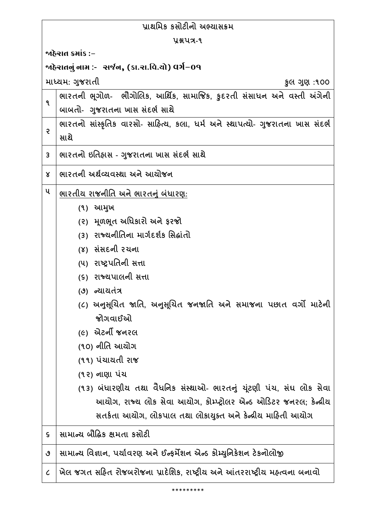| પ્રાથમિક કસોટીનો અભ્યાસક્રમ                      |                                                                                |
|--------------------------------------------------|--------------------------------------------------------------------------------|
| <b>Y&amp;UA-9</b>                                |                                                                                |
| જાહેરાત ક્રમાંક :−                               |                                                                                |
| જાહેરાતનું નામ :-   સર્જન, (કા.રા.વિ.યો) વર્ગ−09 |                                                                                |
| માધ્યમ: ગુજરાતી<br>કુલ ગુણ :૧૦૦                  |                                                                                |
| ٩                                                | ભારતની ભૂગોળ- ભૌગોલિક, આર્થિક, સામાજિક, કુદરતી સંસાધન અને વસ્તી અંગેની         |
|                                                  | બાબતો- ગુજરાતના ખાસ સંદર્ભ સાથે                                                |
| ę                                                | ભારતનો સાંસ્કૃતિક વારસો- સાહિત્ય, કલા, ધર્મ અને સ્થાપત્યો- ગુજરાતના ખાસ સંદર્ભ |
|                                                  | સાથે                                                                           |
| 3                                                | ભારતનો ઇતિહ્રાસ - ગુજરાતના ખાસ સંદર્ભ સાથે                                     |
| Χ                                                | ભારતની અર્થવ્યવસ્થા અને આયોજન                                                  |
| ૫                                                | ભારતીય રાજનીતિ અને ભારતનું બંધારણ:                                             |
|                                                  | (૧) આમુખ                                                                       |
|                                                  | (૨) મૂળભૂત અધિકારો અને ફરજો                                                    |
|                                                  | (3) રાજ્યનીતિના માર્ગદર્શક સિદ્ધાંતો                                           |
|                                                  | (४) સંસદની રચના                                                                |
|                                                  | (૫) રાષ્ટ્રપતિની સત્તા                                                         |
|                                                  | (૬) રાજ્યપાલની સત્તા                                                           |
|                                                  | (૭) ન્યાયતંત્ર                                                                 |
|                                                  | (૮) અનુસૂચિત જાતિ, અનુસૂચિત જનજાતિ અને સમાજના પછાત વર્ગો માટેની                |
|                                                  | જોગવાઈઓ                                                                        |
|                                                  | <i>(૯)</i> એટર્ની જનરલ                                                         |
|                                                  | (૧૦) નીતિ આયોગ                                                                 |
|                                                  | (૧૧) પંચાયતી રાજ                                                               |
|                                                  | (૧૨) નાણા પંચ                                                                  |
|                                                  | (૧૩) બંધારણીય તથા વૈધનિક સંસ્થાઓ- ભારતનું યૂંટણી પંચ, સંઘ લોક સેવા             |
|                                                  | આયોગ, રાજ્ય લોક સેવા આયોગ, કોમ્પ્ટ્રોલર એન્ડ ઓડિટર જનરલ; કેન્દ્રીય             |
|                                                  | સતર્કતા આયોગ, લોકપાલ તથા લોકાયુક્ત અને કેન્દ્રીય માહિતી આયોગ                   |
| $\mathsf S$                                      | સામાન્ય બૌદ્ધિક ક્ષમતા કસોટી                                                   |
| ٯ                                                | સામાન્ય વિજ્ઞાન, પર્યાવરણ અને ઈન્ફર્મેશન એન્ડ કોમ્યુનિકેશન ટેકનોલોજી           |
| $\mathcal{C}_{\mathcal{C}}$                      | ખેલ જગત સહિત રોજબરોજના પ્રાદેશિક, રાષ્ટ્રીય અને આંતરરાષ્ટ્રીય મહ્ત્વના બનાવો   |

\*\*\*\*\*\*\*\*\*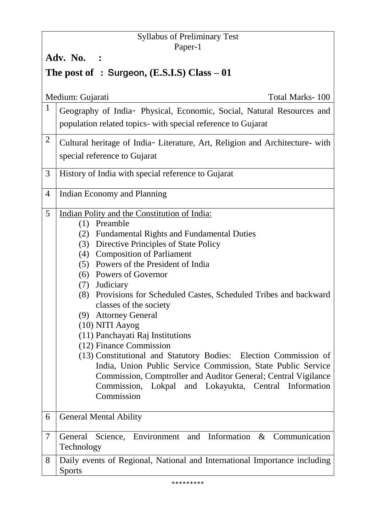# Syllabus of Preliminary Test Paper-1 **Adv. No. : The post of** : Surgeon,  $(E.S.I.S)$  Class  $-01$ Medium: Gujarati Total Marks- 100 1 Geography of India- Physical, Economic, Social, Natural Resources and population related topics- with special reference to Gujarat  $2$  Cultural heritage of India- Literature, Art, Religion and Architecture- with special reference to Gujarat 3 History of India with special reference to Gujarat 4 Indian Economy and Planning 5 Indian Polity and the Constitution of India: (1) Preamble (2) Fundamental Rights and Fundamental Duties (3) Directive Principles of State Policy (4) Composition of Parliament (5) Powers of the President of India (6) Powers of Governor (7) Judiciary (8) Provisions for Scheduled Castes, Scheduled Tribes and backward classes of the society (9) Attorney General (10) NITI Aayog (11) Panchayati Raj Institutions (12) Finance Commission (13) Constitutional and Statutory Bodies: Election Commission of India, Union Public Service Commission, State Public Service Commission, Comptroller and Auditor General; Central Vigilance Commission, Lokpal and Lokayukta, Central Information **Commission**

6 General Mental Ability 7 General Science, Environment and Information & Communication Technology 8 Daily events of Regional, National and International Importance including Sports

#### \*\*\*\*\*\*\*\*\*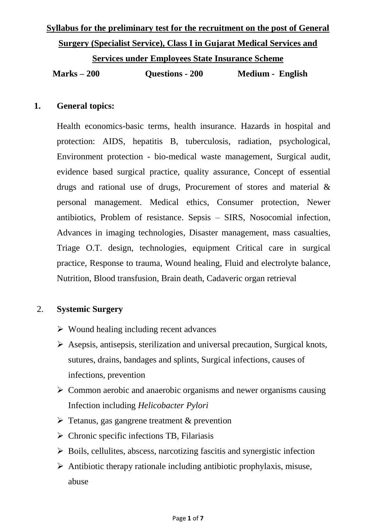# **Syllabus for the preliminary test for the recruitment on the post of General Surgery (Specialist Service), Class I in Gujarat Medical Services and Services under Employees State Insurance Scheme Marks – 200 Questions - 200 Medium - English**

#### **1. General topics:**

Health economics-basic terms, health insurance. Hazards in hospital and protection: AIDS, hepatitis B, tuberculosis, radiation, psychological, Environment protection - bio-medical waste management, Surgical audit, evidence based surgical practice, quality assurance, Concept of essential drugs and rational use of drugs, Procurement of stores and material & personal management. Medical ethics, Consumer protection, Newer antibiotics, Problem of resistance. Sepsis – SIRS, Nosocomial infection, Advances in imaging technologies, Disaster management, mass casualties, Triage O.T. design, technologies, equipment Critical care in surgical practice, Response to trauma, Wound healing, Fluid and electrolyte balance, Nutrition, Blood transfusion, Brain death, Cadaveric organ retrieval

# 2. **Systemic Surgery**

- $\triangleright$  Wound healing including recent advances
- $\triangleright$  Asepsis, antisepsis, sterilization and universal precaution, Surgical knots, sutures, drains, bandages and splints, Surgical infections, causes of infections, prevention
- $\triangleright$  Common aerobic and anaerobic organisms and newer organisms causing Infection including *Helicobacter Pylori*
- $\triangleright$  Tetanus, gas gangrene treatment & prevention
- $\triangleright$  Chronic specific infections TB, Filariasis
- $\triangleright$  Boils, cellulites, abscess, narcotizing fascitis and synergistic infection
- $\triangleright$  Antibiotic therapy rationale including antibiotic prophylaxis, misuse, abuse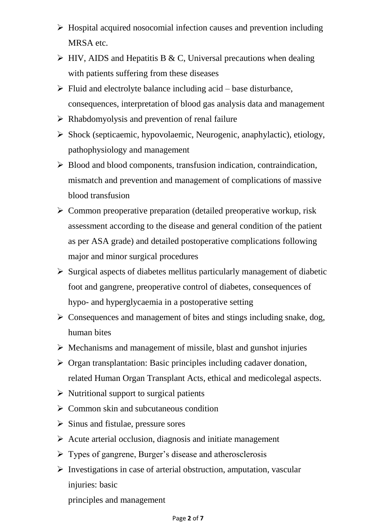- $\triangleright$  Hospital acquired nosocomial infection causes and prevention including MRSA etc.
- $\triangleright$  HIV, AIDS and Hepatitis B & C, Universal precautions when dealing with patients suffering from these diseases
- $\triangleright$  Fluid and electrolyte balance including acid base disturbance, consequences, interpretation of blood gas analysis data and management
- $\triangleright$  Rhabdomyolysis and prevention of renal failure
- $\triangleright$  Shock (septicaemic, hypovolaemic, Neurogenic, anaphylactic), etiology, pathophysiology and management
- $\triangleright$  Blood and blood components, transfusion indication, contraindication, mismatch and prevention and management of complications of massive blood transfusion
- $\triangleright$  Common preoperative preparation (detailed preoperative workup, risk assessment according to the disease and general condition of the patient as per ASA grade) and detailed postoperative complications following major and minor surgical procedures
- $\triangleright$  Surgical aspects of diabetes mellitus particularly management of diabetic foot and gangrene, preoperative control of diabetes, consequences of hypo- and hyperglycaemia in a postoperative setting
- $\triangleright$  Consequences and management of bites and stings including snake, dog, human bites
- $\triangleright$  Mechanisms and management of missile, blast and gunshot injuries
- $\triangleright$  Organ transplantation: Basic principles including cadaver donation, related Human Organ Transplant Acts, ethical and medicolegal aspects.
- $\triangleright$  Nutritional support to surgical patients
- $\triangleright$  Common skin and subcutaneous condition
- $\triangleright$  Sinus and fistulae, pressure sores
- $\triangleright$  Acute arterial occlusion, diagnosis and initiate management
- $\triangleright$  Types of gangrene, Burger's disease and atherosclerosis
- $\triangleright$  Investigations in case of arterial obstruction, amputation, vascular injuries: basic

principles and management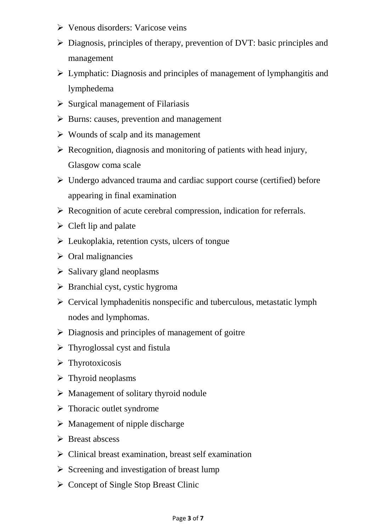- Venous disorders: Varicose veins
- Diagnosis, principles of therapy, prevention of DVT: basic principles and management
- $\triangleright$  Lymphatic: Diagnosis and principles of management of lymphangitis and lymphedema
- $\triangleright$  Surgical management of Filariasis
- $\triangleright$  Burns: causes, prevention and management
- $\triangleright$  Wounds of scalp and its management
- $\triangleright$  Recognition, diagnosis and monitoring of patients with head injury, Glasgow coma scale
- $\triangleright$  Undergo advanced trauma and cardiac support course (certified) before appearing in final examination
- $\triangleright$  Recognition of acute cerebral compression, indication for referrals.
- $\triangleright$  Cleft lip and palate
- $\triangleright$  Leukoplakia, retention cysts, ulcers of tongue
- $\triangleright$  Oral malignancies
- $\triangleright$  Salivary gland neoplasms
- $\triangleright$  Branchial cyst, cystic hygroma
- $\triangleright$  Cervical lymphadenitis nonspecific and tuberculous, metastatic lymph nodes and lymphomas.
- $\triangleright$  Diagnosis and principles of management of goitre
- $\triangleright$  Thyroglossal cyst and fistula
- > Thyrotoxicosis
- $\triangleright$  Thyroid neoplasms
- $\triangleright$  Management of solitary thyroid nodule
- $\triangleright$  Thoracic outlet syndrome
- $\triangleright$  Management of nipple discharge
- $\triangleright$  Breast abscess
- $\triangleright$  Clinical breast examination, breast self examination
- $\triangleright$  Screening and investigation of breast lump
- $\triangleright$  Concept of Single Stop Breast Clinic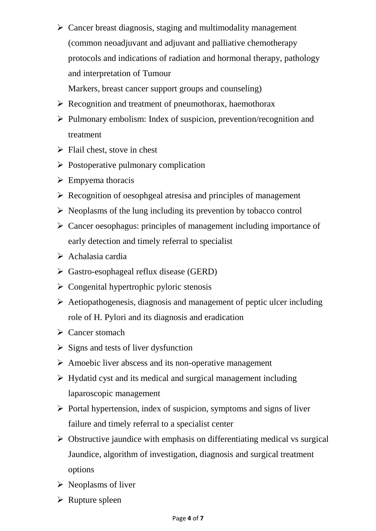$\triangleright$  Cancer breast diagnosis, staging and multimodality management (common neoadjuvant and adjuvant and palliative chemotherapy protocols and indications of radiation and hormonal therapy, pathology and interpretation of Tumour

Markers, breast cancer support groups and counseling)

- $\triangleright$  Recognition and treatment of pneumothorax, haemothorax
- $\triangleright$  Pulmonary embolism: Index of suspicion, prevention/recognition and treatment
- $\triangleright$  Flail chest, stove in chest
- $\triangleright$  Postoperative pulmonary complication
- $\triangleright$  Empyema thoracis
- $\triangleright$  Recognition of oesophgeal atresisa and principles of management
- $\triangleright$  Neoplasms of the lung including its prevention by tobacco control
- $\triangleright$  Cancer oesophagus: principles of management including importance of early detection and timely referral to specialist
- $\triangleright$  Achalasia cardia
- $\triangleright$  Gastro-esophageal reflux disease (GERD)
- $\triangleright$  Congenital hypertrophic pyloric stenosis
- $\triangleright$  Aetiopathogenesis, diagnosis and management of peptic ulcer including role of H. Pylori and its diagnosis and eradication
- $\triangleright$  Cancer stomach
- $\triangleright$  Signs and tests of liver dysfunction
- $\triangleright$  Amoebic liver abscess and its non-operative management
- $\triangleright$  Hydatid cyst and its medical and surgical management including laparoscopic management
- $\triangleright$  Portal hypertension, index of suspicion, symptoms and signs of liver failure and timely referral to a specialist center
- $\triangleright$  Obstructive jaundice with emphasis on differentiating medical vs surgical Jaundice, algorithm of investigation, diagnosis and surgical treatment options
- $\triangleright$  Neoplasms of liver
- $\triangleright$  Rupture spleen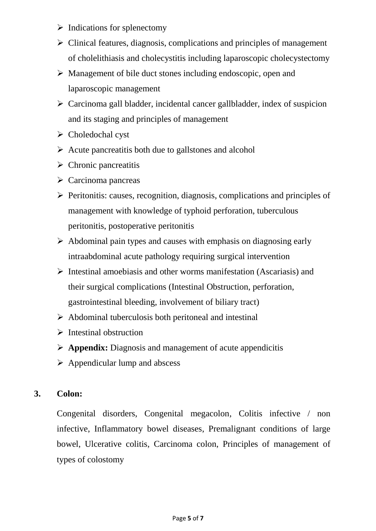- $\triangleright$  Indications for splenectomy
- $\triangleright$  Clinical features, diagnosis, complications and principles of management of cholelithiasis and cholecystitis including laparoscopic cholecystectomy
- $\triangleright$  Management of bile duct stones including endoscopic, open and laparoscopic management
- $\triangleright$  Carcinoma gall bladder, incidental cancer gallbladder, index of suspicion and its staging and principles of management
- $\triangleright$  Choledochal cyst
- $\triangleright$  Acute pancreatitis both due to gallstones and alcohol
- $\triangleright$  Chronic pancreatitis
- $\triangleright$  Carcinoma pancreas
- $\triangleright$  Peritonitis: causes, recognition, diagnosis, complications and principles of management with knowledge of typhoid perforation, tuberculous peritonitis, postoperative peritonitis
- $\triangleright$  Abdominal pain types and causes with emphasis on diagnosing early intraabdominal acute pathology requiring surgical intervention
- $\triangleright$  Intestinal amoebiasis and other worms manifestation (Ascariasis) and their surgical complications (Intestinal Obstruction, perforation, gastrointestinal bleeding, involvement of biliary tract)
- $\triangleright$  Abdominal tuberculosis both peritoneal and intestinal
- $\triangleright$  Intestinal obstruction
- **Appendix:** Diagnosis and management of acute appendicitis
- $\triangleright$  Appendicular lump and abscess

# **3. Colon:**

Congenital disorders, Congenital megacolon, Colitis infective / non infective, Inflammatory bowel diseases, Premalignant conditions of large bowel, Ulcerative colitis, Carcinoma colon, Principles of management of types of colostomy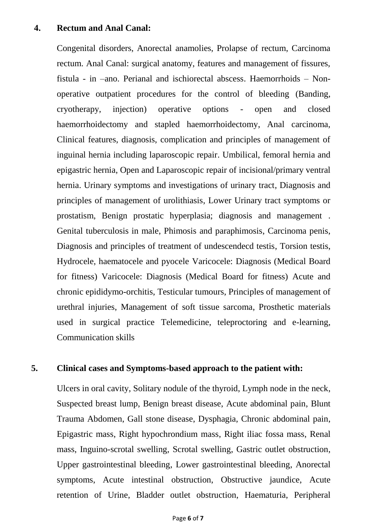# **4. Rectum and Anal Canal:**

Congenital disorders, Anorectal anamolies, Prolapse of rectum, Carcinoma rectum. Anal Canal: surgical anatomy, features and management of fissures, fistula - in –ano. Perianal and ischiorectal abscess. Haemorrhoids – Nonoperative outpatient procedures for the control of bleeding (Banding, cryotherapy, injection) operative options - open and closed haemorrhoidectomy and stapled haemorrhoidectomy, Anal carcinoma, Clinical features, diagnosis, complication and principles of management of inguinal hernia including laparoscopic repair. Umbilical, femoral hernia and epigastric hernia, Open and Laparoscopic repair of incisional/primary ventral hernia. Urinary symptoms and investigations of urinary tract, Diagnosis and principles of management of urolithiasis, Lower Urinary tract symptoms or prostatism, Benign prostatic hyperplasia; diagnosis and management . Genital tuberculosis in male, Phimosis and paraphimosis, Carcinoma penis, Diagnosis and principles of treatment of undescendecd testis, Torsion testis, Hydrocele, haematocele and pyocele Varicocele: Diagnosis (Medical Board for fitness) Varicocele: Diagnosis (Medical Board for fitness) Acute and chronic epididymo-orchitis, Testicular tumours, Principles of management of urethral injuries, Management of soft tissue sarcoma, Prosthetic materials used in surgical practice Telemedicine, teleproctoring and e-learning, Communication skills

# **5. Clinical cases and Symptoms-based approach to the patient with:**

Ulcers in oral cavity, Solitary nodule of the thyroid, Lymph node in the neck, Suspected breast lump, Benign breast disease, Acute abdominal pain, Blunt Trauma Abdomen, Gall stone disease, Dysphagia, Chronic abdominal pain, Epigastric mass, Right hypochrondium mass, Right iliac fossa mass, Renal mass, Inguino-scrotal swelling, Scrotal swelling, Gastric outlet obstruction, Upper gastrointestinal bleeding, Lower gastrointestinal bleeding, Anorectal symptoms, Acute intestinal obstruction, Obstructive jaundice, Acute retention of Urine, Bladder outlet obstruction, Haematuria, Peripheral